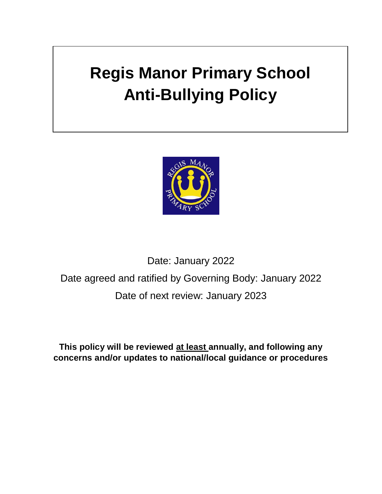# **Regis Manor Primary School Anti-Bullying Policy**



## Date: January 2022 Date agreed and ratified by Governing Body: January 2022 Date of next review: January 2023

**This policy will be reviewed at least annually, and following any concerns and/or updates to national/local guidance or procedures**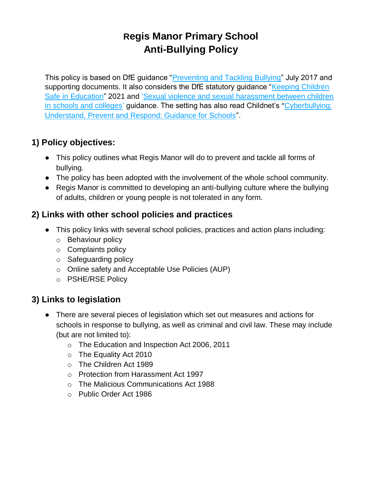## **Regis Manor Primary School Anti-Bullying Policy**

This policy is based on DfE guidance ["Preventing and Tackling Bullying"](about:blank) July 2017 and supporting documents. It also considers the DfE statutory quidance "Keeping Children" [Safe in Education"](https://www.gov.uk/government/publications/keeping-children-safe-in-education--2) 2021 and ['Sexual violence and sexual harassment between children](https://www.gov.uk/government/publications/sexual-violence-and-sexual-harassment-between-children-in-schools-and-colleges)  [in schools and colleges'](https://www.gov.uk/government/publications/sexual-violence-and-sexual-harassment-between-children-in-schools-and-colleges) guidance. The setting has also read Childnet's "Cyberbullying: [Understand, Prevent and Respond: Guidance for Schools"](about:blank).

## **1) Policy objectives:**

- This policy outlines what Regis Manor will do to prevent and tackle all forms of bullying.
- The policy has been adopted with the involvement of the whole school community.
- Regis Manor is committed to developing an anti-bullying culture where the bullying of adults, children or young people is not tolerated in any form.

## **2) Links with other school policies and practices**

- This policy links with several school policies, practices and action plans including:
	- o Behaviour policy
	- o Complaints policy
	- o Safeguarding policy
	- o Online safety and Acceptable Use Policies (AUP)
	- o PSHE/RSE Policy

## **3) Links to legislation**

- There are several pieces of legislation which set out measures and actions for schools in response to bullying, as well as criminal and civil law. These may include (but are not limited to):
	- o The Education and Inspection Act 2006, 2011
	- o The Equality Act 2010
	- o The Children Act 1989
	- o Protection from Harassment Act 1997
	- o The Malicious Communications Act 1988
	- o Public Order Act 1986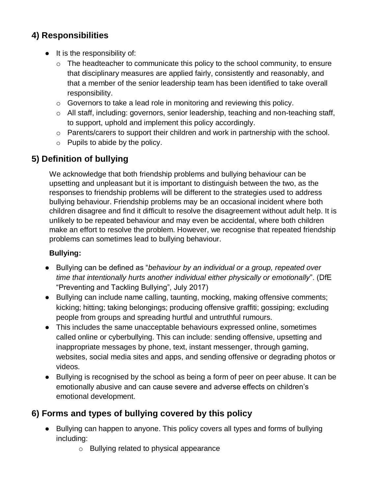## **4) Responsibilities**

- It is the responsibility of:
	- $\circ$  The headteacher to communicate this policy to the school community, to ensure that disciplinary measures are applied fairly, consistently and reasonably, and that a member of the senior leadership team has been identified to take overall responsibility.
	- o Governors to take a lead role in monitoring and reviewing this policy.
	- o All staff, including: governors, senior leadership, teaching and non-teaching staff, to support, uphold and implement this policy accordingly.
	- o Parents/carers to support their children and work in partnership with the school.
	- $\circ$  Pupils to abide by the policy.

## **5) Definition of bullying**

We acknowledge that both friendship problems and bullying behaviour can be upsetting and unpleasant but it is important to distinguish between the two, as the responses to friendship problems will be different to the strategies used to address bullying behaviour. Friendship problems may be an occasional incident where both children disagree and find it difficult to resolve the disagreement without adult help. It is unlikely to be repeated behaviour and may even be accidental, where both children make an effort to resolve the problem. However, we recognise that repeated friendship problems can sometimes lead to bullying behaviour.

#### **Bullying:**

- Bullying can be defined as "*behaviour by an individual or a group, repeated over time that intentionally hurts another individual either physically or emotionally*". (DfE "Preventing and Tackling Bullying", July 2017)
- Bullying can include name calling, taunting, mocking, making offensive comments; kicking; hitting; taking belongings; producing offensive graffiti; gossiping; excluding people from groups and spreading hurtful and untruthful rumours.
- This includes the same unacceptable behaviours expressed online, sometimes called online or cyberbullying. This can include: sending offensive, upsetting and inappropriate messages by phone, text, instant messenger, through gaming, websites, social media sites and apps, and sending offensive or degrading photos or videos.
- Bullying is recognised by the school as being a form of peer on peer abuse. It can be emotionally abusive and can cause severe and adverse effects on children's emotional development.

## **6) Forms and types of bullying covered by this policy**

- Bullying can happen to anyone. This policy covers all types and forms of bullying including:
	- o Bullying related to physical appearance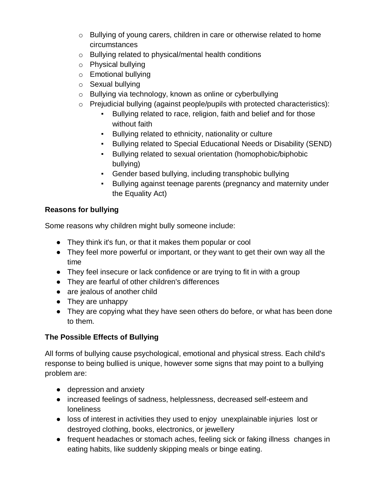- o Bullying of young carers, children in care or otherwise related to home circumstances
- o Bullying related to physical/mental health conditions
- o Physical bullying
- o Emotional bullying
- o Sexual bullying
- o Bullying via technology, known as online or cyberbullying
- o Prejudicial bullying (against people/pupils with protected characteristics):
	- Bullying related to race, religion, faith and belief and for those without faith
	- Bullying related to ethnicity, nationality or culture
	- Bullying related to Special Educational Needs or Disability (SEND)
	- Bullying related to sexual orientation (homophobic/biphobic bullying)
	- Gender based bullying, including transphobic bullying
	- Bullying against teenage parents (pregnancy and maternity under the Equality Act)

#### **Reasons for bullying**

Some reasons why children might bully someone include:

- They think it's fun, or that it makes them popular or cool
- They feel more powerful or important, or they want to get their own way all the time
- They feel insecure or lack confidence or are trying to fit in with a group
- They are fearful of other children's differences
- are jealous of another child
- They are unhappy
- They are copying what they have seen others do before, or what has been done to them.

#### **The Possible Effects of Bullying**

All forms of bullying cause psychological, emotional and physical stress. Each child's response to being bullied is unique, however some signs that may point to a bullying problem are:

- depression and anxiety
- increased feelings of sadness, helplessness, decreased self-esteem and loneliness
- loss of interest in activities they used to enjoy unexplainable injuries lost or destroyed clothing, books, electronics, or jewellery
- frequent headaches or stomach aches, feeling sick or faking illness changes in eating habits, like suddenly skipping meals or binge eating.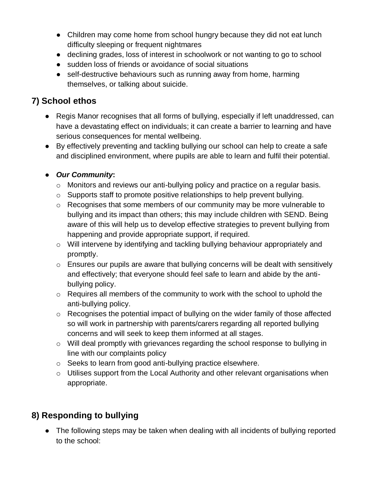- Children may come home from school hungry because they did not eat lunch difficulty sleeping or frequent nightmares
- declining grades, loss of interest in schoolwork or not wanting to go to school
- sudden loss of friends or avoidance of social situations
- self-destructive behaviours such as running away from home, harming themselves, or talking about suicide.

## **7) School ethos**

- Regis Manor recognises that all forms of bullying, especially if left unaddressed, can have a devastating effect on individuals; it can create a barrier to learning and have serious consequences for mental wellbeing.
- By effectively preventing and tackling bullying our school can help to create a safe and disciplined environment, where pupils are able to learn and fulfil their potential.

#### ● *Our Community***:**

- o Monitors and reviews our anti-bullying policy and practice on a regular basis.
- o Supports staff to promote positive relationships to help prevent bullying.
- o Recognises that some members of our community may be more vulnerable to bullying and its impact than others; this may include children with SEND. Being aware of this will help us to develop effective strategies to prevent bullying from happening and provide appropriate support, if required.
- o Will intervene by identifying and tackling bullying behaviour appropriately and promptly.
- o Ensures our pupils are aware that bullying concerns will be dealt with sensitively and effectively; that everyone should feel safe to learn and abide by the antibullying policy.
- o Requires all members of the community to work with the school to uphold the anti-bullying policy.
- o Recognises the potential impact of bullying on the wider family of those affected so will work in partnership with parents/carers regarding all reported bullying concerns and will seek to keep them informed at all stages.
- o Will deal promptly with grievances regarding the school response to bullying in line with our complaints policy
- o Seeks to learn from good anti-bullying practice elsewhere.
- o Utilises support from the Local Authority and other relevant organisations when appropriate.

## **8) Responding to bullying**

• The following steps may be taken when dealing with all incidents of bullying reported to the school: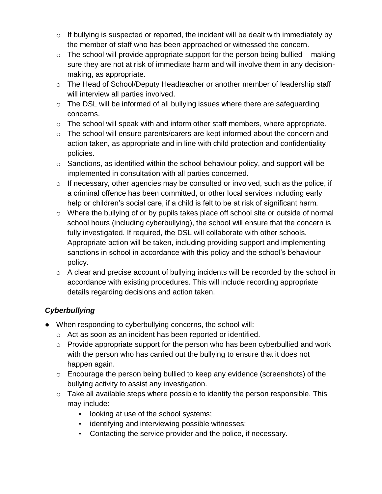- $\circ$  If bullying is suspected or reported, the incident will be dealt with immediately by the member of staff who has been approached or witnessed the concern.
- $\circ$  The school will provide appropriate support for the person being bullied making sure they are not at risk of immediate harm and will involve them in any decisionmaking, as appropriate.
- $\circ$  The Head of School/Deputy Headteacher or another member of leadership staff will interview all parties involved.
- $\circ$  The DSL will be informed of all bullying issues where there are safeguarding concerns.
- o The school will speak with and inform other staff members, where appropriate.
- o The school will ensure parents/carers are kept informed about the concern and action taken, as appropriate and in line with child protection and confidentiality policies.
- $\circ$  Sanctions, as identified within the school behaviour policy, and support will be implemented in consultation with all parties concerned.
- $\circ$  If necessary, other agencies may be consulted or involved, such as the police, if a criminal offence has been committed, or other local services including early help or children's social care, if a child is felt to be at risk of significant harm.
- o Where the bullying of or by pupils takes place off school site or outside of normal school hours (including cyberbullying), the school will ensure that the concern is fully investigated. If required, the DSL will collaborate with other schools. Appropriate action will be taken, including providing support and implementing sanctions in school in accordance with this policy and the school's behaviour policy.
- o A clear and precise account of bullying incidents will be recorded by the school in accordance with existing procedures. This will include recording appropriate details regarding decisions and action taken.

## *Cyberbullying*

- When responding to cyberbullying concerns, the school will:
	- o Act as soon as an incident has been reported or identified.
	- o Provide appropriate support for the person who has been cyberbullied and work with the person who has carried out the bullying to ensure that it does not happen again.
	- o Encourage the person being bullied to keep any evidence (screenshots) of the bullying activity to assist any investigation.
	- $\circ$  Take all available steps where possible to identify the person responsible. This may include:
		- looking at use of the school systems;
		- **•** identifying and interviewing possible witnesses;
		- Contacting the service provider and the police, if necessary.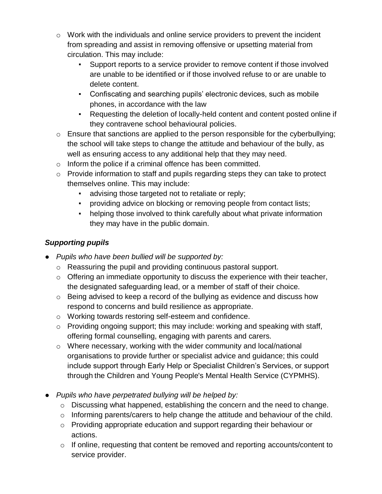- $\circ$  Work with the individuals and online service providers to prevent the incident from spreading and assist in removing offensive or upsetting material from circulation. This may include:
	- Support reports to a service provider to remove content if those involved are unable to be identified or if those involved refuse to or are unable to delete content.
	- Confiscating and searching pupils' electronic devices, such as mobile phones, in accordance with the law
	- Requesting the deletion of locally-held content and content posted online if they contravene school behavioural policies.
- o Ensure that sanctions are applied to the person responsible for the cyberbullying; the school will take steps to change the attitude and behaviour of the bully, as well as ensuring access to any additional help that they may need.
- $\circ$  Inform the police if a criminal offence has been committed.
- o Provide information to staff and pupils regarding steps they can take to protect themselves online. This may include:
	- advising those targeted not to retaliate or reply;
	- providing advice on blocking or removing people from contact lists;
	- helping those involved to think carefully about what private information they may have in the public domain.

#### *Supporting pupils*

- *Pupils who have been bullied will be supported by:*
	- o Reassuring the pupil and providing continuous pastoral support.
	- $\circ$  Offering an immediate opportunity to discuss the experience with their teacher, the designated safeguarding lead, or a member of staff of their choice.
	- o Being advised to keep a record of the bullying as evidence and discuss how respond to concerns and build resilience as appropriate.
	- o Working towards restoring self-esteem and confidence.
	- $\circ$  Providing ongoing support; this may include: working and speaking with staff, offering formal counselling, engaging with parents and carers.
	- o Where necessary, working with the wider community and local/national organisations to provide further or specialist advice and guidance; this could include support through Early Help or Specialist Children's Services, or support through the Children and Young People's Mental Health Service (CYPMHS).
- *Pupils who have perpetrated bullying will be helped by:*
	- o Discussing what happened, establishing the concern and the need to change.
	- o Informing parents/carers to help change the attitude and behaviour of the child.
	- o Providing appropriate education and support regarding their behaviour or actions.
	- o If online, requesting that content be removed and reporting accounts/content to service provider.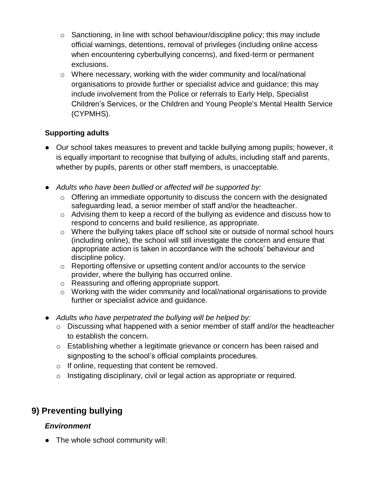- $\circ$  Sanctioning, in line with school behaviour/discipline policy; this may include official warnings, detentions, removal of privileges (including online access when encountering cyberbullying concerns), and fixed-term or permanent exclusions.
- o Where necessary, working with the wider community and local/national organisations to provide further or specialist advice and guidance; this may include involvement from the Police or referrals to Early Help, Specialist Children's Services, or the Children and Young People's Mental Health Service (CYPMHS).

#### **Supporting adults**

- Our school takes measures to prevent and tackle bullying among pupils; however, it is equally important to recognise that bullying of adults, including staff and parents, whether by pupils, parents or other staff members, is unacceptable.
- *Adults who have been bullied or affected will be supported by:*
	- $\circ$  Offering an immediate opportunity to discuss the concern with the designated safeguarding lead, a senior member of staff and/or the headteacher.
	- o Advising them to keep a record of the bullying as evidence and discuss how to respond to concerns and build resilience, as appropriate.
	- o Where the bullying takes place off school site or outside of normal school hours (including online), the school will still investigate the concern and ensure that appropriate action is taken in accordance with the schools' behaviour and discipline policy.
	- o Reporting offensive or upsetting content and/or accounts to the service provider, where the bullying has occurred online.
	- o Reassuring and offering appropriate support.
	- o Working with the wider community and local/national organisations to provide further or specialist advice and guidance.
- *Adults who have perpetrated the bullying will be helped by:*
	- o Discussing what happened with a senior member of staff and/or the headteacher to establish the concern.
	- o Establishing whether a legitimate grievance or concern has been raised and signposting to the school's official complaints procedures.
	- o If online, requesting that content be removed.
	- o Instigating disciplinary, civil or legal action as appropriate or required.

## **9) Preventing bullying**

#### *Environment*

● The whole school community will: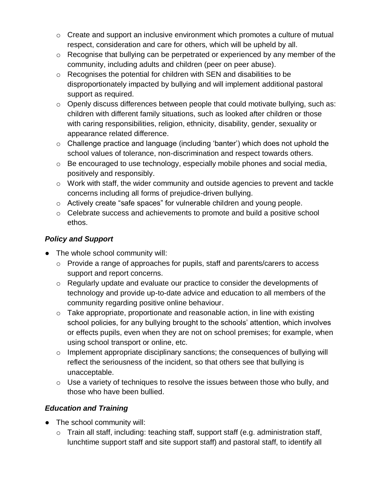- $\circ$  Create and support an inclusive environment which promotes a culture of mutual respect, consideration and care for others, which will be upheld by all.
- o Recognise that bullying can be perpetrated or experienced by any member of the community, including adults and children (peer on peer abuse).
- o Recognises the potential for children with SEN and disabilities to be disproportionately impacted by bullying and will implement additional pastoral support as required.
- o Openly discuss differences between people that could motivate bullying, such as: children with different family situations, such as looked after children or those with caring responsibilities, religion, ethnicity, disability, gender, sexuality or appearance related difference.
- o Challenge practice and language (including 'banter') which does not uphold the school values of tolerance, non-discrimination and respect towards others.
- o Be encouraged to use technology, especially mobile phones and social media, positively and responsibly.
- $\circ$  Work with staff, the wider community and outside agencies to prevent and tackle concerns including all forms of prejudice-driven bullying.
- o Actively create "safe spaces" for vulnerable children and young people.
- o Celebrate success and achievements to promote and build a positive school ethos.

#### *Policy and Support*

- The whole school community will:
	- $\circ$  Provide a range of approaches for pupils, staff and parents/carers to access support and report concerns.
	- o Regularly update and evaluate our practice to consider the developments of technology and provide up-to-date advice and education to all members of the community regarding positive online behaviour.
	- $\circ$  Take appropriate, proportionate and reasonable action, in line with existing school policies, for any bullying brought to the schools' attention, which involves or effects pupils, even when they are not on school premises; for example, when using school transport or online, etc.
	- $\circ$  Implement appropriate disciplinary sanctions; the consequences of bullying will reflect the seriousness of the incident, so that others see that bullying is unacceptable.
	- $\circ$  Use a variety of techniques to resolve the issues between those who bully, and those who have been bullied.

#### *Education and Training*

- The school community will:
	- o Train all staff, including: teaching staff, support staff (e.g. administration staff, lunchtime support staff and site support staff) and pastoral staff, to identify all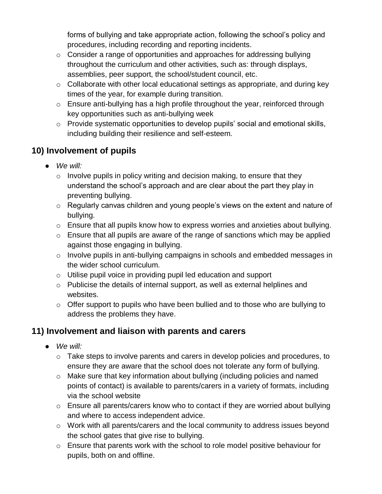forms of bullying and take appropriate action, following the school's policy and procedures, including recording and reporting incidents.

- $\circ$  Consider a range of opportunities and approaches for addressing bullying throughout the curriculum and other activities, such as: through displays, assemblies, peer support, the school/student council, etc.
- $\circ$  Collaborate with other local educational settings as appropriate, and during key times of the year, for example during transition.
- o Ensure anti-bullying has a high profile throughout the year, reinforced through key opportunities such as anti-bullying week
- o Provide systematic opportunities to develop pupils' social and emotional skills, including building their resilience and self-esteem.

## **10) Involvement of pupils**

- *We will:* 
	- $\circ$  Involve pupils in policy writing and decision making, to ensure that they understand the school's approach and are clear about the part they play in preventing bullying.
	- o Regularly canvas children and young people's views on the extent and nature of bullying.
	- $\circ$  Ensure that all pupils know how to express worries and anxieties about bullying.
	- $\circ$  Ensure that all pupils are aware of the range of sanctions which may be applied against those engaging in bullying.
	- o Involve pupils in anti-bullying campaigns in schools and embedded messages in the wider school curriculum.
	- o Utilise pupil voice in providing pupil led education and support
	- o Publicise the details of internal support, as well as external helplines and websites.
	- $\circ$  Offer support to pupils who have been bullied and to those who are bullying to address the problems they have.

## **11) Involvement and liaison with parents and carers**

- *We will:* 
	- o Take steps to involve parents and carers in develop policies and procedures, to ensure they are aware that the school does not tolerate any form of bullying.
	- o Make sure that key information about bullying (including policies and named points of contact) is available to parents/carers in a variety of formats, including via the school website
	- o Ensure all parents/carers know who to contact if they are worried about bullying and where to access independent advice.
	- o Work with all parents/carers and the local community to address issues beyond the school gates that give rise to bullying.
	- $\circ$  Ensure that parents work with the school to role model positive behaviour for pupils, both on and offline.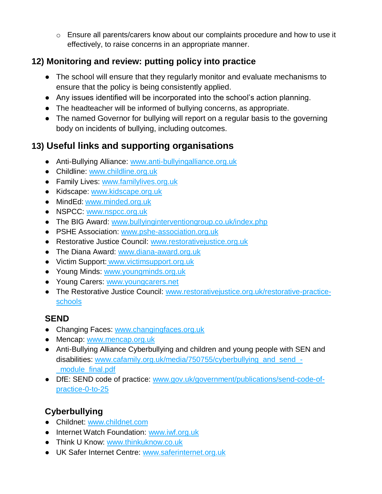o Ensure all parents/carers know about our complaints procedure and how to use it effectively, to raise concerns in an appropriate manner.

## **12) Monitoring and review: putting policy into practice**

- The school will ensure that they regularly monitor and evaluate mechanisms to ensure that the policy is being consistently applied.
- Any issues identified will be incorporated into the school's action planning.
- The headteacher will be informed of bullying concerns, as appropriate.
- The named Governor for bullying will report on a regular basis to the governing body on incidents of bullying, including outcomes.

## **13) Useful links and supporting organisations**

- Anti-Bullying Alliance: [www.anti-bullyingalliance.org.uk](http://www.anti-bullyingalliance.org.uk/)
- Childline: [www.childline.org.uk](http://www.childline.org.uk/)
- Family Lives: [www.familylives.org.uk](http://www.familylives.org.uk/)
- Kidscape: [www.kidscape.org.uk](http://www.kidscape.org.uk/)
- MindEd: [www.minded.org.uk](http://www.minded.org.uk/)
- NSPCC: [www.nspcc.org.uk](http://www.nspcc.org.uk/)
- The BIG Award: [www.bullyinginterventiongroup.co.uk/index.php](https://www.bullyinginterventiongroup.co.uk/index.php)
- PSHE Association: [www.pshe-association.org.uk](http://www.pshe-association.org.uk/)
- Restorative Justice Council: [www.restorativejustice.org.uk](http://www.restorativejustice.org.uk/)
- The Diana Award: [www.diana-award.org.uk](http://www.diana-award.org.uk/)
- Victim Support: [www.victimsupport.org.uk](http://www.victimsupport.org.uk/)
- Young Minds: [www.youngminds.org.uk](http://www.youngminds.org.uk/)
- Young Carers: [www.youngcarers.net](http://www.youngcarers.net/)
- The Restorative Justice Council: [www.restorativejustice.org.uk/restorative-practice](http://www.restorativejustice.org.uk/restorative-practice-schools)[schools](http://www.restorativejustice.org.uk/restorative-practice-schools)

## **SEND**

- Changing Faces: [www.changingfaces.org.uk](http://www.changingfaces.org.uk/)
- Mencap: [www.mencap.org.uk](http://www.mencap.org.uk/)
- Anti-Bullying Alliance Cyberbullying and children and young people with SEN and disabilities: [www.cafamily.org.uk/media/750755/cyberbullying\\_and\\_send\\_-](http://www.cafamily.org.uk/media/750755/cyberbullying_and_send_-_module_final.pdf) [\\_module\\_final.pdf](http://www.cafamily.org.uk/media/750755/cyberbullying_and_send_-_module_final.pdf)
- DfE: SEND code of practice: [www.gov.uk/government/publications/send-code-of](https://www.gov.uk/government/publications/send-code-of-practice-0-to-25)[practice-0-to-25](https://www.gov.uk/government/publications/send-code-of-practice-0-to-25)

## **Cyberbullying**

- Childnet: [www.childnet.com](http://www.childnet.com/)
- Internet Watch Foundation: [www.iwf.org.uk](http://www.iwf.org.uk/)
- Think U Know: [www.thinkuknow.co.uk](http://www.thinkuknow.co.uk/)
- UK Safer Internet Centre: [www.saferinternet.org.uk](http://www.saferinternet.org.uk/)